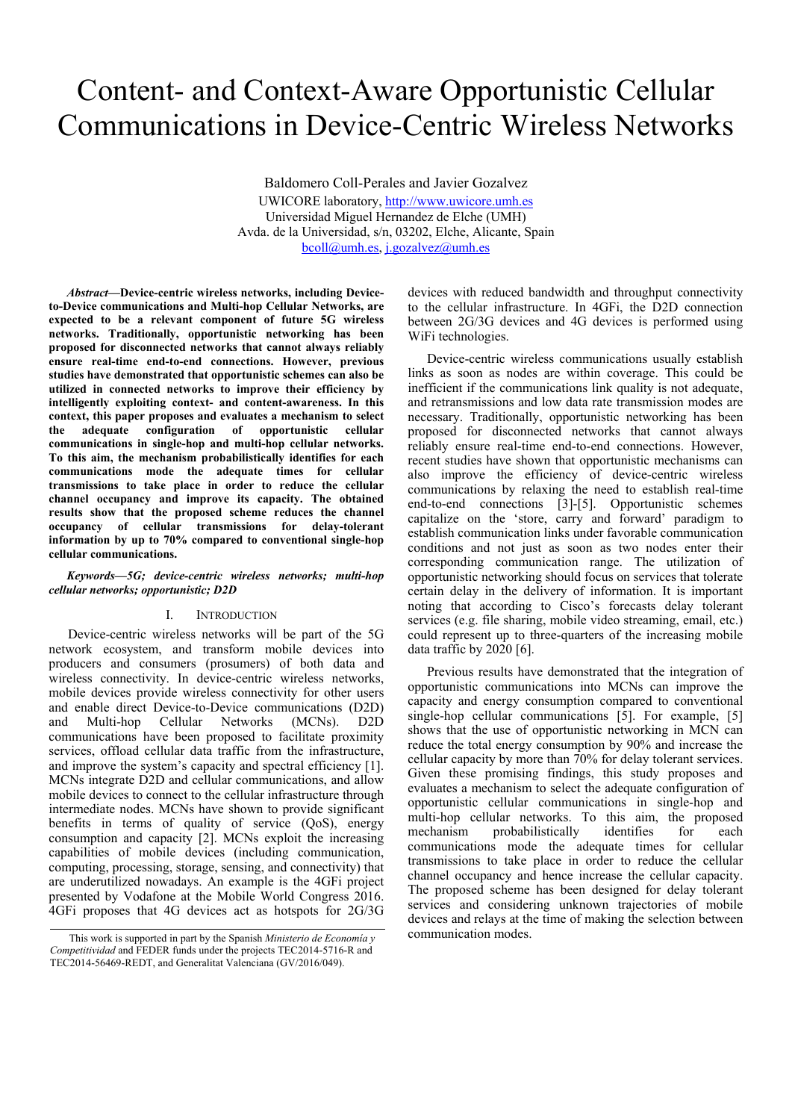# Content- and Context-Aware Opportunistic Cellular Communications in Device-Centric Wireless Networks

Baldomero Coll-Perales and Javier Gozalvez UWICORE laboratory, http://www.uwicore.umh.es Universidad Miguel Hernandez de Elche (UMH) Avda. de la Universidad, s/n, 03202, Elche, Alicante, Spain bcoll@umh.es, j.gozalvez@umh.es

*Abstract***—Device-centric wireless networks, including Deviceto-Device communications and Multi-hop Cellular Networks, are expected to be a relevant component of future 5G wireless networks. Traditionally, opportunistic networking has been proposed for disconnected networks that cannot always reliably ensure real-time end-to-end connections. However, previous studies have demonstrated that opportunistic schemes can also be utilized in connected networks to improve their efficiency by intelligently exploiting context- and content-awareness. In this context, this paper proposes and evaluates a mechanism to select the adequate configuration of opportunistic cellular communications in single-hop and multi-hop cellular networks. To this aim, the mechanism probabilistically identifies for each communications mode the adequate times for cellular transmissions to take place in order to reduce the cellular channel occupancy and improve its capacity. The obtained results show that the proposed scheme reduces the channel occupancy of cellular transmissions for delay-tolerant information by up to 70% compared to conventional single-hop cellular communications.** 

# *Keywords—5G; device-centric wireless networks; multi-hop cellular networks; opportunistic; D2D*

### I. INTRODUCTION

Device-centric wireless networks will be part of the 5G network ecosystem, and transform mobile devices into producers and consumers (prosumers) of both data and wireless connectivity. In device-centric wireless networks, mobile devices provide wireless connectivity for other users and enable direct Device-to-Device communications (D2D) and Multi-hop Cellular Networks (MCNs). D2D communications have been proposed to facilitate proximity services, offload cellular data traffic from the infrastructure, and improve the system's capacity and spectral efficiency [1]. MCNs integrate D2D and cellular communications, and allow mobile devices to connect to the cellular infrastructure through intermediate nodes. MCNs have shown to provide significant benefits in terms of quality of service (QoS), energy consumption and capacity [2]. MCNs exploit the increasing capabilities of mobile devices (including communication, computing, processing, storage, sensing, and connectivity) that are underutilized nowadays. An example is the 4GFi project presented by Vodafone at the Mobile World Congress 2016. 4GFi proposes that 4G devices act as hotspots for 2G/3G

devices with reduced bandwidth and throughput connectivity to the cellular infrastructure. In 4GFi, the D2D connection between 2G/3G devices and 4G devices is performed using WiFi technologies.

Device-centric wireless communications usually establish links as soon as nodes are within coverage. This could be inefficient if the communications link quality is not adequate, and retransmissions and low data rate transmission modes are necessary. Traditionally, opportunistic networking has been proposed for disconnected networks that cannot always reliably ensure real-time end-to-end connections. However, recent studies have shown that opportunistic mechanisms can also improve the efficiency of device-centric wireless communications by relaxing the need to establish real-time end-to-end connections [3]-[5]. Opportunistic schemes capitalize on the 'store, carry and forward' paradigm to establish communication links under favorable communication conditions and not just as soon as two nodes enter their corresponding communication range. The utilization of opportunistic networking should focus on services that tolerate certain delay in the delivery of information. It is important noting that according to Cisco's forecasts delay tolerant services (e.g. file sharing, mobile video streaming, email, etc.) could represent up to three-quarters of the increasing mobile data traffic by 2020 [6].

Previous results have demonstrated that the integration of opportunistic communications into MCNs can improve the capacity and energy consumption compared to conventional single-hop cellular communications [5]. For example, [5] shows that the use of opportunistic networking in MCN can reduce the total energy consumption by 90% and increase the cellular capacity by more than 70% for delay tolerant services. Given these promising findings, this study proposes and evaluates a mechanism to select the adequate configuration of opportunistic cellular communications in single-hop and multi-hop cellular networks. To this aim, the proposed mechanism probabilistically identifies for each communications mode the adequate times for cellular transmissions to take place in order to reduce the cellular channel occupancy and hence increase the cellular capacity. The proposed scheme has been designed for delay tolerant services and considering unknown trajectories of mobile devices and relays at the time of making the selection between

communication modes. This work is supported in part by the Spanish *Ministerio de Economía y Competitividad* and FEDER funds under the projects TEC2014-5716-R and TEC2014-56469-REDT, and Generalitat Valenciana (GV/2016/049).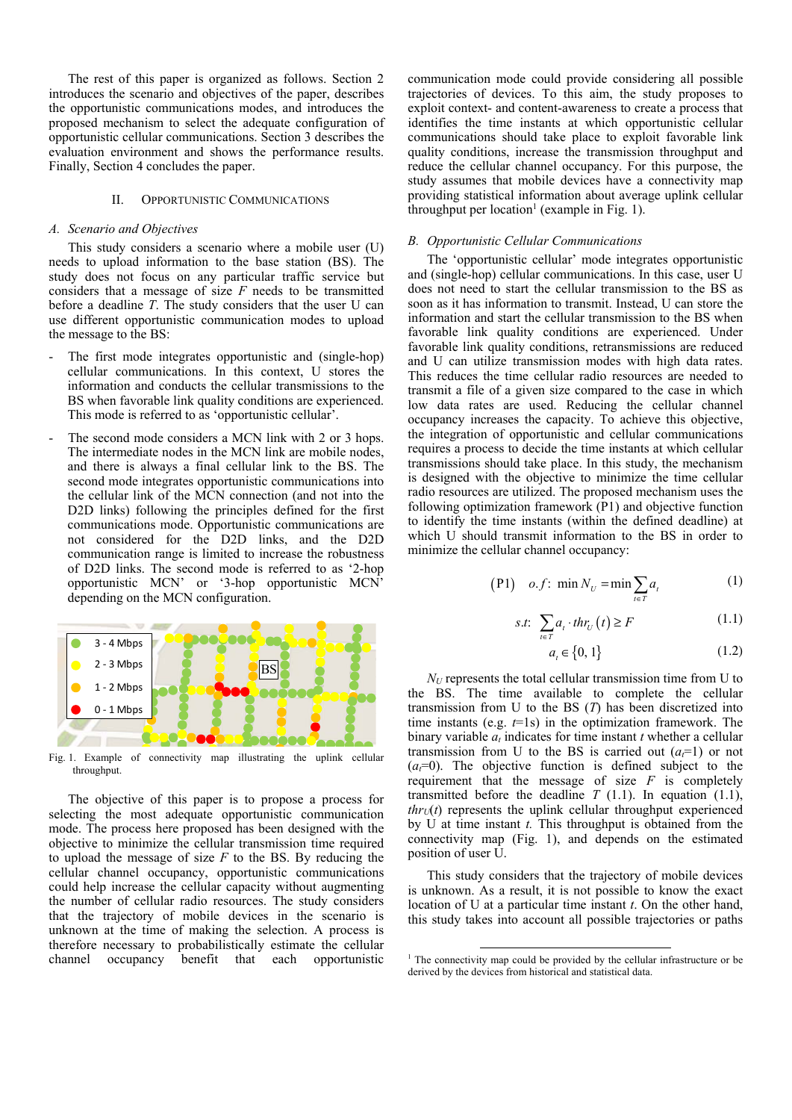The rest of this paper is organized as follows. Section 2 introduces the scenario and objectives of the paper, describes the opportunistic communications modes, and introduces the proposed mechanism to select the adequate configuration of opportunistic cellular communications. Section 3 describes the evaluation environment and shows the performance results. Finally, Section 4 concludes the paper.

## II. OPPORTUNISTIC COMMUNICATIONS

### *A. Scenario and Objectives*

This study considers a scenario where a mobile user (U) needs to upload information to the base station (BS). The study does not focus on any particular traffic service but considers that a message of size *F* needs to be transmitted before a deadline *T*. The study considers that the user U can use different opportunistic communication modes to upload the message to the BS:

- The first mode integrates opportunistic and (single-hop) cellular communications. In this context, U stores the information and conducts the cellular transmissions to the BS when favorable link quality conditions are experienced. This mode is referred to as 'opportunistic cellular'.
- The second mode considers a MCN link with 2 or 3 hops. The intermediate nodes in the MCN link are mobile nodes, and there is always a final cellular link to the BS. The second mode integrates opportunistic communications into the cellular link of the MCN connection (and not into the D2D links) following the principles defined for the first communications mode. Opportunistic communications are not considered for the D2D links, and the D2D communication range is limited to increase the robustness of D2D links. The second mode is referred to as '2-hop opportunistic MCN' or '3-hop opportunistic MCN' depending on the MCN configuration.



Fig. 1. Example of connectivity map illustrating the uplink cellular throughput.

The objective of this paper is to propose a process for selecting the most adequate opportunistic communication mode. The process here proposed has been designed with the objective to minimize the cellular transmission time required to upload the message of size *F* to the BS. By reducing the cellular channel occupancy, opportunistic communications could help increase the cellular capacity without augmenting the number of cellular radio resources. The study considers that the trajectory of mobile devices in the scenario is unknown at the time of making the selection. A process is therefore necessary to probabilistically estimate the cellular channel occupancy benefit that each opportunistic

communication mode could provide considering all possible trajectories of devices. To this aim, the study proposes to exploit context- and content-awareness to create a process that identifies the time instants at which opportunistic cellular communications should take place to exploit favorable link quality conditions, increase the transmission throughput and reduce the cellular channel occupancy. For this purpose, the study assumes that mobile devices have a connectivity map providing statistical information about average uplink cellular throughput per location<sup>1</sup> (example in Fig. 1).

#### *B. Opportunistic Cellular Communications*

The 'opportunistic cellular' mode integrates opportunistic and (single-hop) cellular communications. In this case, user U does not need to start the cellular transmission to the BS as soon as it has information to transmit. Instead, U can store the information and start the cellular transmission to the BS when favorable link quality conditions are experienced. Under favorable link quality conditions, retransmissions are reduced and U can utilize transmission modes with high data rates. This reduces the time cellular radio resources are needed to transmit a file of a given size compared to the case in which low data rates are used. Reducing the cellular channel occupancy increases the capacity. To achieve this objective, the integration of opportunistic and cellular communications requires a process to decide the time instants at which cellular transmissions should take place. In this study, the mechanism is designed with the objective to minimize the time cellular radio resources are utilized. The proposed mechanism uses the following optimization framework (P1) and objective function to identify the time instants (within the defined deadline) at which U should transmit information to the BS in order to minimize the cellular channel occupancy:

$$
(P1) \quad o.f: \ \min N_U = \min \sum_{t \in T} a_t \tag{1}
$$

$$
s.t. \sum_{t \in T} a_t \cdot thr_U(t) \ge F \tag{1.1}
$$

$$
a_{t} \in \{0, 1\} \tag{1.2}
$$

 $N_U$  represents the total cellular transmission time from U to the BS. The time available to complete the cellular transmission from U to the BS (*T*) has been discretized into time instants (e.g. *t*=1s) in the optimization framework. The binary variable  $a_t$  indicates for time instant  $t$  whether a cellular transmission from U to the BS is carried out  $(a<sub>i</sub>=1)$  or not  $(a=0)$ . The objective function is defined subject to the requirement that the message of size  $F$  is completely transmitted before the deadline  $T(1,1)$ . In equation  $(1,1)$ ,  $thr<sub>U</sub>(t)$  represents the uplink cellular throughput experienced by U at time instant *t.* This throughput is obtained from the connectivity map (Fig. 1), and depends on the estimated position of user U.

This study considers that the trajectory of mobile devices is unknown. As a result, it is not possible to know the exact location of U at a particular time instant *t*. On the other hand, this study takes into account all possible trajectories or paths

 <sup>1</sup> The connectivity map could be provided by the cellular infrastructure or be derived by the devices from historical and statistical data.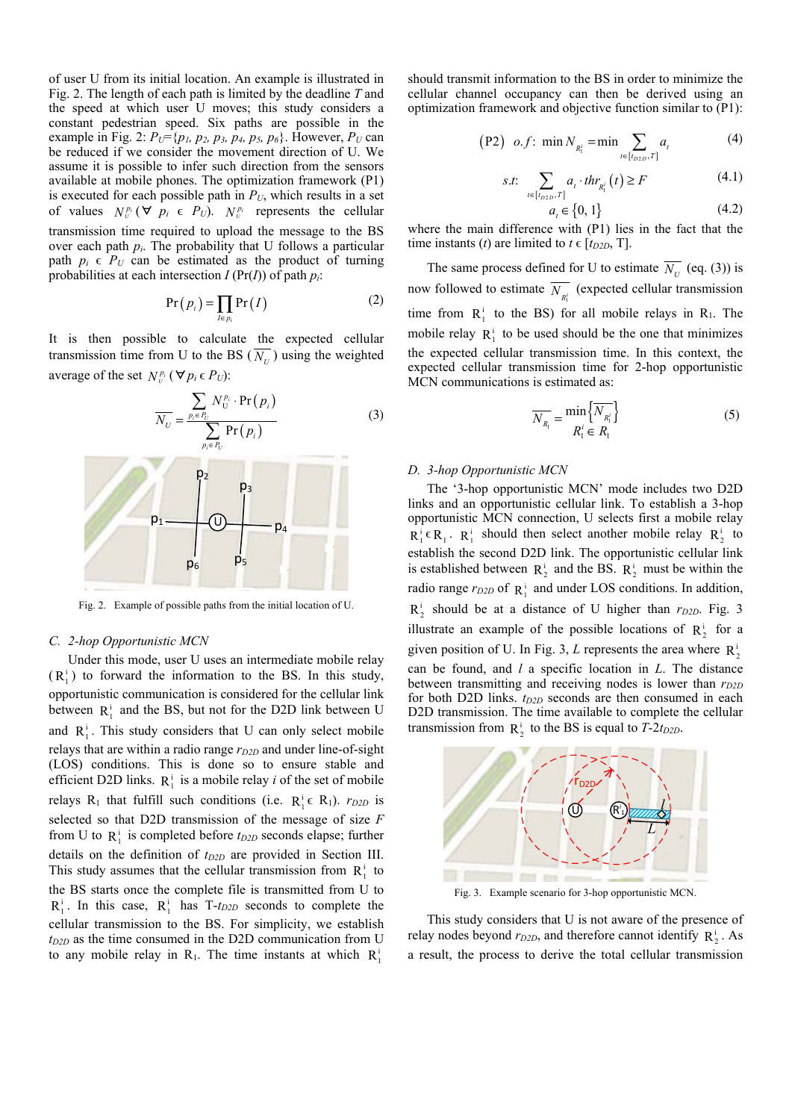of user U from its initial location. An example is illustrated in Fig. 2. The length of each path is limited by the deadline *T* and the speed at which user U moves; this study considers a constant pedestrian speed. Six paths are possible in the example in Fig. 2:  $P_U = \{p_1, p_2, p_3, p_4, p_5, p_6\}$ . However,  $P_U$  can be reduced if we consider the movement direction of U. We assume it is possible to infer such direction from the sensors available at mobile phones. The optimization framework (P1) is executed for each possible path in  $P_U$ , which results in a set of values  $N_v^{p_i}$  ( $\forall p_i \in P_U$ ).  $N_v^{p_i}$  represents the cellular transmission time required to upload the message to the BS over each path *pi*. The probability that U follows a particular path  $p_i \in P_U$  can be estimated as the product of turning probabilities at each intersection  $I$  (Pr( $I$ )) of path  $p_i$ :

$$
Pr(p_i) = \prod_{I \in p_i} Pr(I)
$$
 (2)

It is then possible to calculate the expected cellular transmission time from U to the BS ( $\overline{N_{U}}$ ) using the weighted average of the set  $N_v^{p_i}$  ( $\forall p_i \in P_U$ ):



Fig. 2. Example of possible paths from the initial location of U.

#### *C. 2-hop Opportunistic MCN*

Under this mode, user U uses an intermediate mobile relay  $(R_1^i)$  to forward the information to the BS. In this study, opportunistic communication is considered for the cellular link between  $R_1^i$  and the BS, but not for the D2D link between U and  $R_1^i$ . This study considers that U can only select mobile relays that are within a radio range  $r_{D2D}$  and under line-of-sight (LOS) conditions. This is done so to ensure stable and efficient D2D links.  $R_1^i$  is a mobile relay *i* of the set of mobile relays R<sub>1</sub> that fulfill such conditions (i.e.  $R_1^i \in R_1$ ). *r*<sub>D2D</sub> is selected so that D2D transmission of the message of size *F* from U to  $R_1^i$  is completed before  $t_{D2D}$  seconds elapse; further details on the definition of  $t_{D2D}$  are provided in Section III. This study assumes that the cellular transmission from  $R_1^i$  to the BS starts once the complete file is transmitted from U to  $R_1^i$ . In this case,  $R_1^i$  has T-*t<sub>D2D</sub>* seconds to complete the cellular transmission to the BS. For simplicity, we establish *tD2D* as the time consumed in the D2D communication from U to any mobile relay in  $R_1$ . The time instants at which  $R_1^1$ .

should transmit information to the BS in order to minimize the cellular channel occupancy can then be derived using an optimization framework and objective function similar to (P1):

$$
(P2) \quad o.f: \ \min N_{R_1^i} = \min \sum_{t \in [t_{D2D}, T]} a_t \tag{4}
$$

s.t: 
$$
\sum_{t \in [t_{D2D}, T]} a_t \cdot thr_{R_1^i}(t) \ge F
$$
 (4.1)

$$
a_{t} \in \{0, 1\} \tag{4.2}
$$

where the main difference with (P1) lies in the fact that the time instants (*t*) are limited to  $t \in [t_{D2D}, T]$ .

The same process defined for U to estimate  $\overline{N_{U}}$  (eq. (3)) is now followed to estimate  $\overline{N_{R_1^i}}$  (expected cellular transmission time from  $R_1^i$  to the BS) for all mobile relays in R<sub>1</sub>. The mobile relay  $R_1^i$  to be used should be the one that minimizes the expected cellular transmission time. In this context, the expected cellular transmission time for 2-hop opportunistic MCN communications is estimated as:

$$
\overline{N_{R_1}} = \frac{\min\left\{N_{R_1'}\right\}}{R_1' \in R_1} \tag{5}
$$

### *D. 3-hop Opportunistic MCN*

The '3-hop opportunistic MCN' mode includes two D2D links and an opportunistic cellular link. To establish a 3-hop opportunistic MCN connection, U selects first a mobile relay  $R_1^i \in R_1$ .  $R_1^i$  should then select another mobile relay  $R_2^i$  to establish the second D2D link. The opportunistic cellular link is established between  $R_2^i$  and the BS.  $R_2^i$  must be within the radio range  $r_{D2D}$  of  $\mathbb{R}^1$  and under LOS conditions. In addition,  $R_2^i$  should be at a distance of U higher than  $r_{D2D}$ . Fig. 3 illustrate an example of the possible locations of  $R_2^i$  for a given position of U. In Fig. 3, L represents the area where  $R_2^{\rm i}$ can be found, and *l* a specific location in *L*. The distance between transmitting and receiving nodes is lower than  $r_{D2D}$ for both D2D links.  $t_{D2D}$  seconds are then consumed in each D2D transmission. The time available to complete the cellular transmission from  $R_2^i$  to the BS is equal to *T*-2*t*<sub>D2D</sub>.



Fig. 3. Example scenario for 3-hop opportunistic MCN.

This study considers that U is not aware of the presence of relay nodes beyond  $r_{D2D}$ , and therefore cannot identify  $R_2^i$ . As a result, the process to derive the total cellular transmission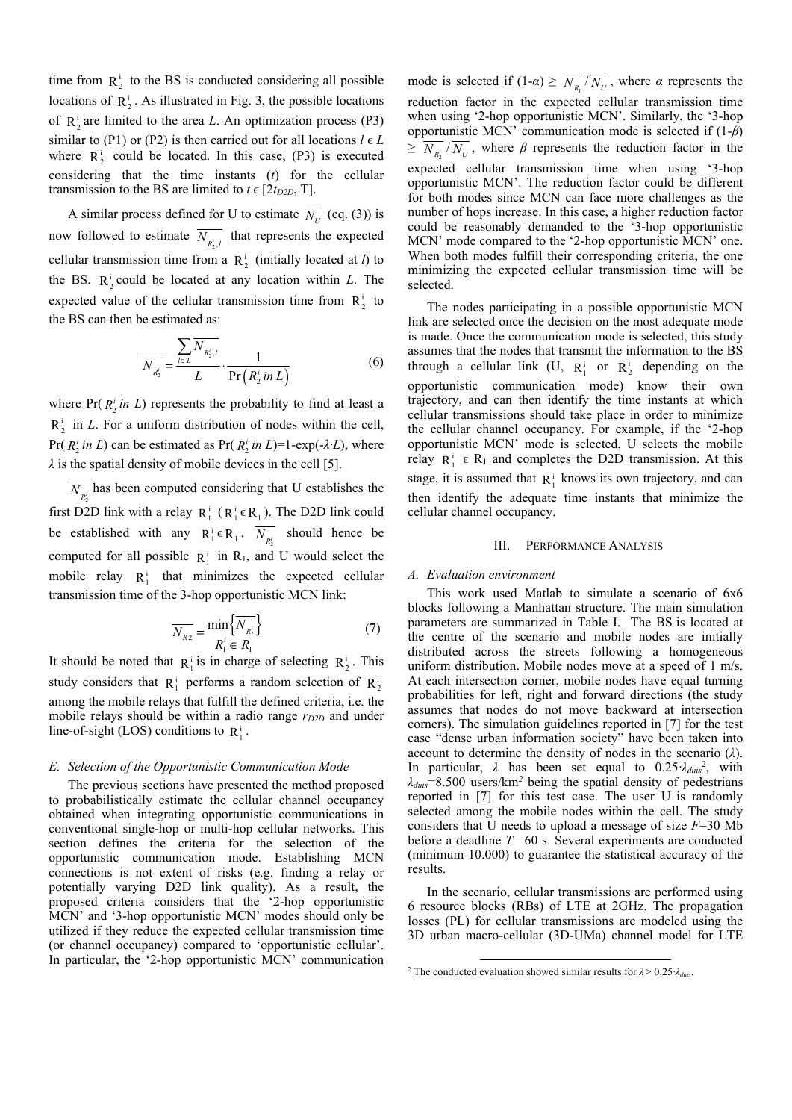time from  $R_2^i$  to the BS is conducted considering all possible locations of  $\mathbb{R}^i$ . As illustrated in Fig. 3, the possible locations of  $\mathbb{R}^1$  are limited to the area *L*. An optimization process (P3) similar to (P1) or (P2) is then carried out for all locations  $l \in L$ where  $R_2^i$  could be located. In this case, (P3) is executed considering that the time instants (*t*) for the cellular transmission to the BS are limited to  $t \in [2t_{D2D}, T]$ .

A similar process defined for U to estimate  $\overline{N_U}$  (eq. (3)) is now followed to estimate  $\overline{N_{R_2^i,l}}$  that represents the expected cellular transmission time from a  $R_2^i$  (initially located at *l*) to the BS.  $R_2^i$  could be located at any location within *L*. The expected value of the cellular transmission time from  $R_2^i$  to the BS can then be estimated as:

$$
\overline{N_{R_2^i}} = \frac{\sum_{l \in L} \overline{N_{R_2^i,l}}}{L} \cdot \frac{1}{\Pr(R_2^i \text{ in } L)}
$$
(6)

where  $Pr(R_2^i in L)$  represents the probability to find at least a  $R_2^i$  in *L*. For a uniform distribution of nodes within the cell, Pr( $R_2^i$  *in L*) can be estimated as Pr( $R_2^i$  *in L*)=1-exp(- $\lambda$ *·L*), where *λ* is the spatial density of mobile devices in the cell [5].

 $\overline{N_{p,i}}$  has been computed considering that U establishes the first D2D link with a relay  $R_1^i$  ( $R_1^i \in R_1$ ). The D2D link could be established with any  $R_1^i \in R_1$ .  $\overline{N_{R_2^i}}$  should hence be computed for all possible  $R_1^i$  in R<sub>1</sub>, and U would select the mobile relay  $R_1^i$  that minimizes the expected cellular transmission time of the 3-hop opportunistic MCN link:

$$
\overline{N_{R2}} = \frac{\min\left\{N_{R_2^i}\right\}}{R_1^i \in R_1}
$$
\n(7)

It should be noted that  $R_1^i$  is in charge of selecting  $R_2^i$ . This study considers that  $R_1^i$  performs a random selection of  $R_2^i$ among the mobile relays that fulfill the defined criteria, i.e. the mobile relays should be within a radio range  $r_{D2D}$  and under line-of-sight (LOS) conditions to  $R_1^i$ .

# *E. Selection of the Opportunistic Communication Mode*

The previous sections have presented the method proposed to probabilistically estimate the cellular channel occupancy obtained when integrating opportunistic communications in conventional single-hop or multi-hop cellular networks. This section defines the criteria for the selection of the opportunistic communication mode. Establishing MCN connections is not extent of risks (e.g. finding a relay or potentially varying D2D link quality). As a result, the proposed criteria considers that the '2-hop opportunistic MCN' and '3-hop opportunistic MCN' modes should only be utilized if they reduce the expected cellular transmission time (or channel occupancy) compared to 'opportunistic cellular'. In particular, the '2-hop opportunistic MCN' communication

mode is selected if  $(1-a) \geq \overline{N_{R}} / \overline{N_{U}}$ , where *α* represents the reduction factor in the expected cellular transmission time when using '2-hop opportunistic MCN'. Similarly, the '3-hop opportunistic MCN' communication mode is selected if (1-*β*)  $\geq N_{R_2}/N_U$ , where  $\beta$  represents the reduction factor in the expected cellular transmission time when using '3-hop opportunistic MCN'. The reduction factor could be different for both modes since MCN can face more challenges as the number of hops increase. In this case, a higher reduction factor could be reasonably demanded to the '3-hop opportunistic MCN' mode compared to the '2-hop opportunistic MCN' one. When both modes fulfill their corresponding criteria, the one minimizing the expected cellular transmission time will be selected.

The nodes participating in a possible opportunistic MCN link are selected once the decision on the most adequate mode is made. Once the communication mode is selected, this study assumes that the nodes that transmit the information to the BS through a cellular link (U,  $R_1^i$  or  $R_2^i$  depending on the opportunistic communication mode) know their own trajectory, and can then identify the time instants at which cellular transmissions should take place in order to minimize the cellular channel occupancy. For example, if the '2-hop opportunistic MCN' mode is selected, U selects the mobile relay  $R_1^i \in R_1$  and completes the D2D transmission. At this stage, it is assumed that  $R_1^i$  knows its own trajectory, and can then identify the adequate time instants that minimize the cellular channel occupancy.

## III. PERFORMANCE ANALYSIS

## *A. Evaluation environment*

This work used Matlab to simulate a scenario of 6x6 blocks following a Manhattan structure. The main simulation parameters are summarized in Table I. The BS is located at the centre of the scenario and mobile nodes are initially distributed across the streets following a homogeneous uniform distribution. Mobile nodes move at a speed of 1 m/s. At each intersection corner, mobile nodes have equal turning probabilities for left, right and forward directions (the study assumes that nodes do not move backward at intersection corners). The simulation guidelines reported in [7] for the test case "dense urban information society" have been taken into account to determine the density of nodes in the scenario (*λ*). In particular,  $\lambda$  has been set equal to  $0.25 \lambda_{duis}^2$ , with *λduis*=8.500 users/km*<sup>2</sup>* being the spatial density of pedestrians reported in [7] for this test case. The user U is randomly selected among the mobile nodes within the cell. The study considers that U needs to upload a message of size *F*=30 Mb before a deadline *T*= 60 s. Several experiments are conducted (minimum 10.000) to guarantee the statistical accuracy of the results.

In the scenario, cellular transmissions are performed using 6 resource blocks (RBs) of LTE at 2GHz. The propagation losses (PL) for cellular transmissions are modeled using the 3D urban macro-cellular (3D-UMa) channel model for LTE

<sup>&</sup>lt;sup>2</sup> The conducted evaluation showed similar results for  $\lambda$  > 0.25*·* $\lambda$ *<sub>duis</sub>*.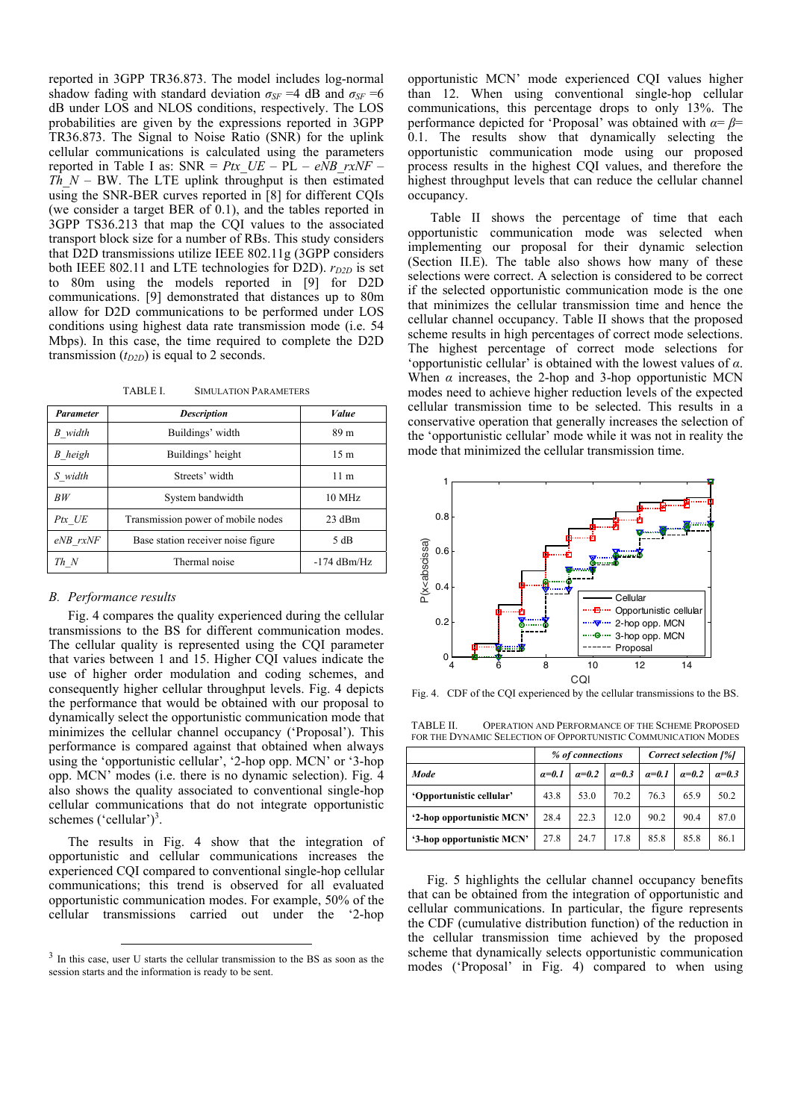reported in 3GPP TR36.873. The model includes log-normal shadow fading with standard deviation  $\sigma_{SF} = 4$  dB and  $\sigma_{SF} = 6$ dB under LOS and NLOS conditions, respectively. The LOS probabilities are given by the expressions reported in 3GPP TR36.873. The Signal to Noise Ratio (SNR) for the uplink cellular communications is calculated using the parameters reported in Table I as:  $SNR = Ptx$   $UE - P\overline{L} - e\overline{NB}$   $rxNF -$ *Th*  $N - BW$ . The LTE uplink throughput is then estimated using the SNR-BER curves reported in [8] for different CQIs (we consider a target BER of 0.1), and the tables reported in 3GPP TS36.213 that map the CQI values to the associated transport block size for a number of RBs. This study considers that D2D transmissions utilize IEEE 802.11g (3GPP considers both IEEE 802.11 and LTE technologies for D2D).  $r_{D2D}$  is set to 80m using the models reported in [9] for D2D communications. [9] demonstrated that distances up to 80m allow for D2D communications to be performed under LOS conditions using highest data rate transmission mode (i.e. 54 Mbps). In this case, the time required to complete the D2D transmission  $(t_{D2D})$  is equal to 2 seconds.

TABLE I. SIMULATION PARAMETERS

| <b>Parameter</b> | <b>Description</b>                 | <b>Value</b>     |  |
|------------------|------------------------------------|------------------|--|
| B width          | Buildings' width                   | 89 m             |  |
| B heigh          | Buildings' height                  | 15 <sub>m</sub>  |  |
| S width          | Streets' width                     | 11 <sub>m</sub>  |  |
| RW               | System bandwidth                   | $10 \text{ MHz}$ |  |
| Ptx UE           | Transmission power of mobile nodes | 23 dBm           |  |
| eNB rxNF         | Base station receiver noise figure | 5 dB             |  |
| Th N             | Thermal noise                      | $-174$ dBm/Hz    |  |

## *B. Performance results*

Fig. 4 compares the quality experienced during the cellular transmissions to the BS for different communication modes. The cellular quality is represented using the CQI parameter that varies between 1 and 15. Higher CQI values indicate the use of higher order modulation and coding schemes, and consequently higher cellular throughput levels. Fig. 4 depicts the performance that would be obtained with our proposal to dynamically select the opportunistic communication mode that minimizes the cellular channel occupancy ('Proposal'). This performance is compared against that obtained when always using the 'opportunistic cellular', '2-hop opp. MCN' or '3-hop opp. MCN' modes (i.e. there is no dynamic selection). Fig. 4 also shows the quality associated to conventional single-hop cellular communications that do not integrate opportunistic schemes ('cellular')<sup>3</sup>.

The results in Fig. 4 show that the integration of opportunistic and cellular communications increases the experienced CQI compared to conventional single-hop cellular communications; this trend is observed for all evaluated opportunistic communication modes. For example, 50% of the cellular transmissions carried out under the '2-hop

opportunistic MCN' mode experienced CQI values higher than 12. When using conventional single-hop cellular communications, this percentage drops to only 13%. The performance depicted for 'Proposal' was obtained with *α*= *β*= 0.1. The results show that dynamically selecting the opportunistic communication mode using our proposed process results in the highest CQI values, and therefore the highest throughput levels that can reduce the cellular channel occupancy.

 Table II shows the percentage of time that each opportunistic communication mode was selected when implementing our proposal for their dynamic selection (Section II.E). The table also shows how many of these selections were correct. A selection is considered to be correct if the selected opportunistic communication mode is the one that minimizes the cellular transmission time and hence the cellular channel occupancy. Table II shows that the proposed scheme results in high percentages of correct mode selections. The highest percentage of correct mode selections for 'opportunistic cellular' is obtained with the lowest values of *α*. When  $\alpha$  increases, the 2-hop and 3-hop opportunistic MCN modes need to achieve higher reduction levels of the expected cellular transmission time to be selected. This results in a conservative operation that generally increases the selection of the 'opportunistic cellular' mode while it was not in reality the mode that minimized the cellular transmission time.



Fig. 4. CDF of the CQI experienced by the cellular transmissions to the BS.

TABLE II. OPERATION AND PERFORMANCE OF THE SCHEME PROPOSED FOR THE DYNAMIC SELECTION OF OPPORTUNISTIC COMMUNICATION MODES

|                           | % of connections |         |         | Correct selection [%] |         |         |
|---------------------------|------------------|---------|---------|-----------------------|---------|---------|
| Mode                      | $a=0.1$          | $a=0.2$ | $a=0.3$ | $a=0.1$               | $a=0.2$ | $a=0.3$ |
| 'Opportunistic cellular'  | 43.8             | 53.0    | 70.2    | 76.3                  | 65.9    | 50.2    |
| '2-hop opportunistic MCN' | 28.4             | 22.3    | 12.0    | 90.2                  | 90.4    | 87.0    |
| '3-hop opportunistic MCN' | 27.8             | 24.7    | 17.8    | 85.8                  | 85.8    | 86.1    |

Fig. 5 highlights the cellular channel occupancy benefits that can be obtained from the integration of opportunistic and cellular communications. In particular, the figure represents the CDF (cumulative distribution function) of the reduction in the cellular transmission time achieved by the proposed scheme that dynamically selects opportunistic communication modes ('Proposal' in Fig. 4) compared to when using

<sup>&</sup>lt;sup>3</sup> In this case, user U starts the cellular transmission to the BS as soon as the session starts and the information is ready to be sent.